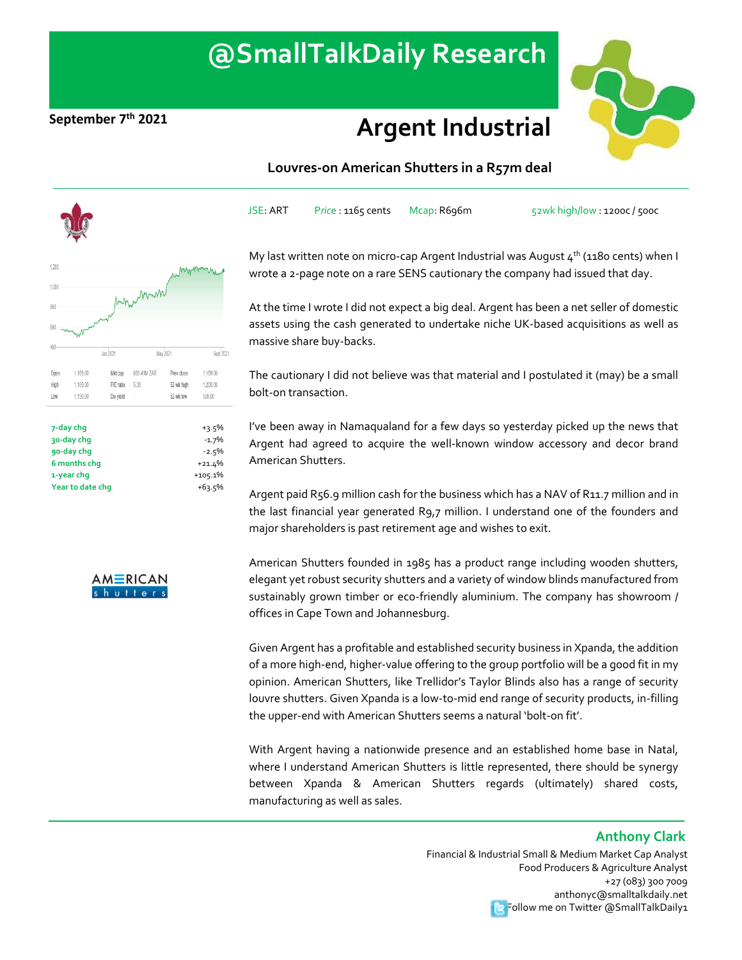# **@SmallTalkDaily Research**

## **September 7th <sup>2021</sup> Argent Industrial**



### **Louvres-on American Shutters in a R57m deal**

JSE: ART P*ric*e : 1165 cents Mcap: R696m 52wk high/low : 1200c / 500c



**6 months chg** +21.4% **1-year chg Year to date chg** +105.1% +63.5%



My last written note on micro-cap Argent Industrial was August  $4^{th}$  (1180 cents) when I wrote a 2-page note on a rare SENS cautionary the company had issued that day.

At the time I wrote I did not expect a big deal. Argent has been a net seller of domestic assets using the cash generated to undertake niche UK-based acquisitions as well as massive share buy-backs.

The cautionary I did not believe was that material and I postulated it (may) be a small bolt-on transaction.

I've been away in Namaqualand for a few days so yesterday picked up the news that Argent had agreed to acquire the well-known window accessory and decor brand American Shutters.

Argent paid R56.9 million cash for the business which has a NAV of R11.7 million and in the last financial year generated R9,7 million. I understand one of the founders and major shareholders is past retirement age and wishes to exit.

American Shutters founded in 1985 has a product range including wooden shutters, elegant yet robust [security shutters](https://eur03.safelinks.protection.outlook.com/?url=https%3A%2F%2Fwww.americanshutters.co.za%2Fsecurity-shutters%2F&data=04%7C01%7Cduncan%40americanshutters.co.za%7C7ac79b22ca0f4df3775008d8f376b373%7C6264504fba814f68b802c928d01bba65%7C1%7C0%7C637527038433656853%7CUnknown%7CTWFpbGZsb3d8eyJWIjoiMC4wLjAwMDAiLCJQIjoiV2luMzIiLCJBTiI6Ik1haWwiLCJXVCI6Mn0%3D%7C1000&sdata=ya6EVehxnX1SrM986S%2BUYCPEWyxAvk1aZWe8dKuaTBo%3D&reserved=0) and a variety of window blinds manufactured from sustainably grown timber or eco-friendly aluminium. The company has showroom / offices in Cape Town and Johannesburg.

Given Argent has a profitable and established security business in Xpanda, the addition of a more high-end, higher-value offering to the group portfolio will be a good fit in my opinion. American Shutters, like Trellidor's Taylor Blinds also has a range of security louvre shutters. Given Xpanda is a low-to-mid end range of security products, in-filling the upper-end with American Shutters seems a natural 'bolt-on fit'.

With Argent having a nationwide presence and an established home base in Natal, where I understand American Shutters is little represented, there should be synergy between Xpanda & American Shutters regards (ultimately) shared costs, manufacturing as well as sales.

### **Anthony Clark**

Financial & Industrial Small & Medium Market Cap Analyst Food Producers & Agriculture Analyst +27 (083) 300 7009 anthonyc@smalltalkdaily.net **Follow me on Twitter @SmallTalkDaily1**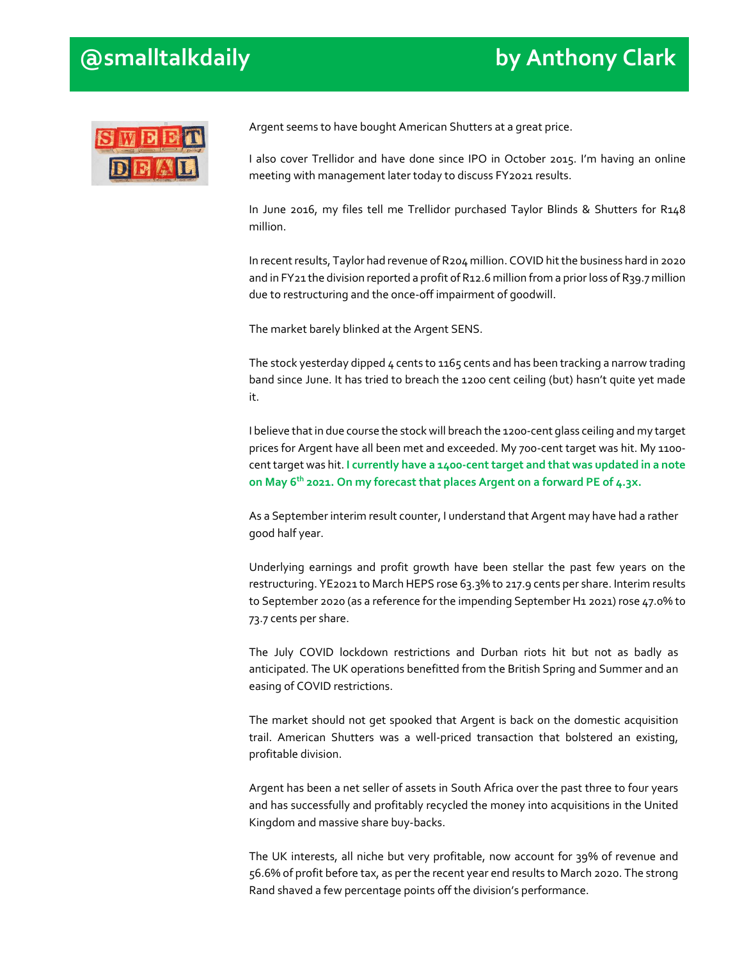### **@smalltalkdaily by Anthony Clark**



Argent seems to have bought American Shutters at a great price.

I also cover Trellidor and have done since IPO in October 2015. I'm having an online meeting with management later today to discuss FY2021 results.

In June 2016, my files tell me Trellidor purchased Taylor Blinds & Shutters for R148 million.

In recent results, Taylor had revenue of R204 million. COVID hit the business hard in 2020 and in FY21 the division reported a profit of R12.6 million from a prior loss of R39.7 million due to restructuring and the once-off impairment of goodwill.

The market barely blinked at the Argent SENS.

The stock yesterday dipped  $4$  cents to 1165 cents and has been tracking a narrow trading band since June. It has tried to breach the 1200 cent ceiling (but) hasn't quite yet made it.

I believe that in due course the stock will breach the 1200-cent glass ceiling and my target prices for Argent have all been met and exceeded. My 700-cent target was hit. My 1100 cent target was hit. **I currently have a 1400-cent target and that was updated in a note on May 6th 2021. On my forecast that places Argent on a forward PE of 4.3x.**

As a September interim result counter, I understand that Argent may have had a rather good half year.

Underlying earnings and profit growth have been stellar the past few years on the restructuring. YE2021 to March HEPS rose 63.3% to 217.9 cents per share. Interim results to September 2020 (as a reference for the impending September H1 2021) rose 47.0% t0 73.7 cents per share.

The July COVID lockdown restrictions and Durban riots hit but not as badly as anticipated. The UK operations benefitted from the British Spring and Summer and an easing of COVID restrictions.

The market should not get spooked that Argent is back on the domestic acquisition trail. American Shutters was a well-priced transaction that bolstered an existing, profitable division.

Argent has been a net seller of assets in South Africa over the past three to four years and has successfully and profitably recycled the money into acquisitions in the United Kingdom and massive share buy-backs.

The UK interests, all niche but very profitable, now account for 39% of revenue and 56.6% of profit before tax, as per the recent year end results to March 2020. The strong Rand shaved a few percentage points off the division's performance.